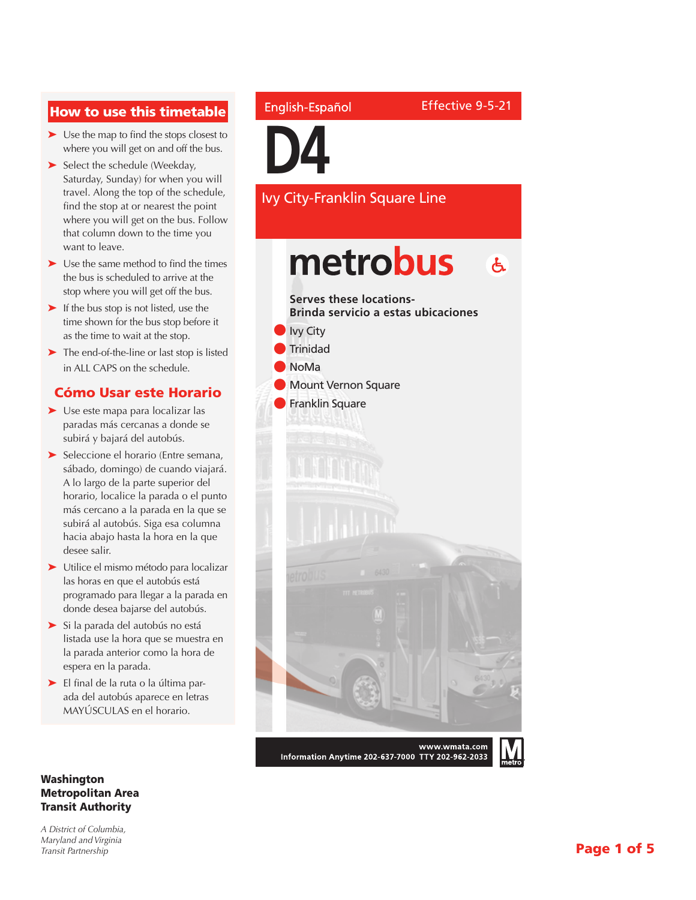### How to use this timetable

- ➤ Use the map to find the stops closest to where you will get on and off the bus.
- ➤ Select the schedule (Weekday, Saturday, Sunday) for when you will travel. Along the top of the schedule, find the stop at or nearest the point where you will get on the bus. Follow that column down to the time you want to leave.
- ➤ Use the same method to find the times the bus is scheduled to arrive at the stop where you will get off the bus.
- ➤ If the bus stop is not listed, use the time shown for the bus stop before it as the time to wait at the stop.
- ➤ The end-of-the-line or last stop is listed in ALL CAPS on the schedule.

#### Cómo Usar este Horario

- ➤ Use este mapa para localizar las paradas más cercanas a donde se subirá y bajará del autobús.
- ➤ Seleccione el horario (Entre semana, sábado, domingo) de cuando viajará. A lo largo de la parte superior del horario, localice la parada o el punto más cercano a la parada en la que se subirá al autobús. Siga esa columna hacia abajo hasta la hora en la que desee salir.
- ➤ Utilice el mismo método para localizar las horas en que el autobús está programado para llegar a la parada en donde desea bajarse del autobús.
- ➤ Si la parada del autobús no está listada use la hora que se muestra en la parada anterior como la hora de espera en la parada.
- ➤ El final de la ruta o la última parada del autobús aparece en letras MAYÚSCULAS en el horario.

#### Washington Metropolitan Area Transit Authority

*A District of Columbia, Maryland and Virginia Transit Partnership*

#### English-Español

**D4**

Ivy City-Franklin Square Line

Effective 9-5-21



Information Anytime 202-637-7000 TTY 202-962-2033

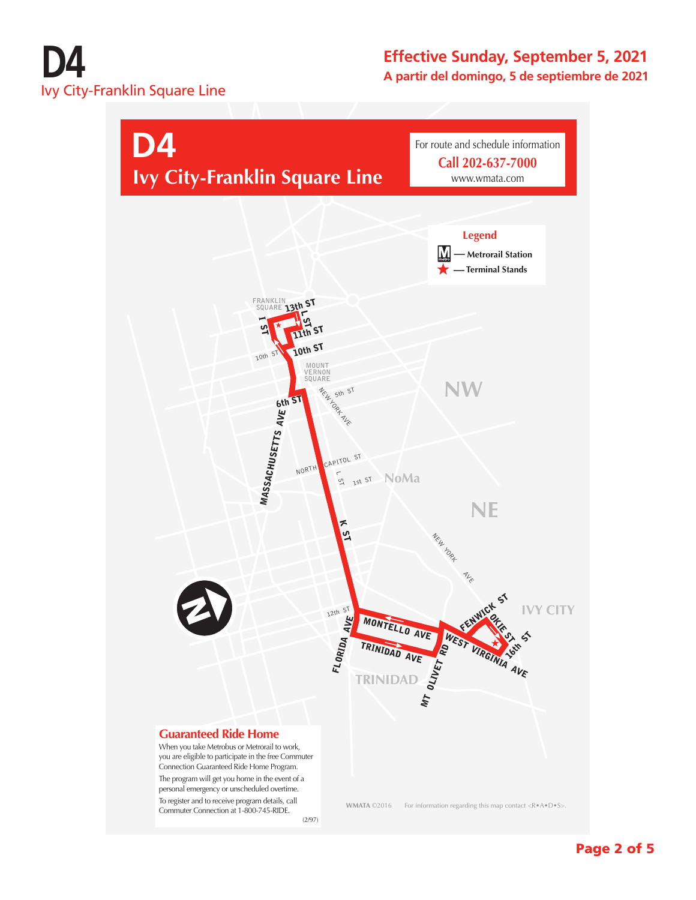# **D4** Ivy City-Franklin Square Line

## **Effective Sunday, September 5, 2021 A partir del domingo, 5 de septiembre de 2021**

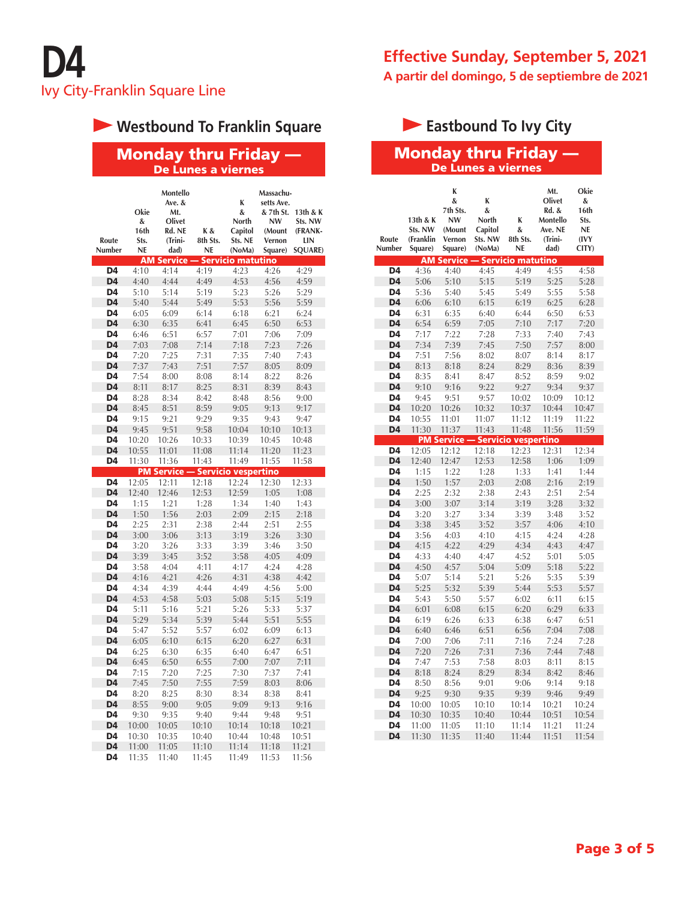# **Westbound To Franklin Square**

| <b>Monday thru Friday —</b> |
|-----------------------------|
| De Lunes a viernes          |

|                |           | Montello          |          |                       | Massachu-  |                |
|----------------|-----------|-------------------|----------|-----------------------|------------|----------------|
|                |           | Ave. &            |          | K                     | setts Ave. |                |
|                | Okie      | Mt.               |          | &                     | & 7th St.  | 13th & K       |
|                | &         | Olivet            |          | North                 | <b>NW</b>  | Sts. NW        |
|                | 16th      | Rd. NE            | K &      | Capitol               | (Mount     | (FRANK-        |
| Route          | Sts.      | (Trini-           | 8th Sts. | Sts. NE               | Vernon     | LIN            |
| Number         | <b>NE</b> | dad)              | NE       | (NoMa)                | Square)    | <b>SQUARE)</b> |
|                | AM        | <b>Service</b>    |          | - Servicio matutino   |            |                |
| D <sub>4</sub> | 4:10      | 4:14              | 4:19     | 4:23                  | 4:26       | 4:29           |
| D <sub>4</sub> | 4:40      | 4:44              | 4:49     | 4:53                  | 4:56       | 4:59           |
| D <sub>4</sub> | 5:10      | 5:14              | 5:19     | 5:23                  | 5:26       | 5:29           |
| D <sub>4</sub> | 5:40      | 5:44              | 5:49     | 5:53                  | 5:56       | 5:59           |
| D4             | 6:05      | 6:09              | 6:14     | 6:18                  | 6:21       | 6:24           |
| D4             | 6:30      | 6:35              | 6:41     | 6:45                  | 6:50       | 6:53           |
| D4             | 6:46      | 6:51              | 6:57     | 7:01                  | 7:06       | 7:09           |
| D4             | 7:03      | 7:08              | 7:14     | 7:18                  | 7:23       | 7:26           |
| D4             | 7:20      | 7:25              | 7:31     | 7:35                  | 7:40       | 7:43           |
| D <sub>4</sub> | 7:37      | 7:43              | 7:51     | 7:57                  | 8:05       | 8:09           |
| D4             | 7:54      | 8:00              | 8:08     | 8:14                  | 8:22       | 8:26           |
| D4             | 8:11      | 8:17              | 8:25     | 8:31                  | 8:39       | 8:43           |
| D4             | 8:28      | 8:34              | 8:42     | 8:48                  | 8:56       | 9:00           |
| D <sub>4</sub> | 8:45      | 8:51              | 8:59     | 9:05                  | 9:13       | 9:17           |
| D4             | 9:15      | 9:21              | 9:29     | 9:35                  | 9:43       | 9:47           |
| D4             | 9:45      | 9:51              | 9:58     | 10:04                 | 10:10      | 10:13          |
| D4             | 10:20     | 10:26             | 10:33    | 10:39                 | 10:45      | 10:48          |
| D <sub>4</sub> | 10:55     | 11:01             | 11:08    | 11:14                 | 11:20      | 11:23          |
| D <sub>4</sub> | 11:30     | 11:36             | 11:43    | 11:49                 | 11:55      | 11:58          |
|                |           | <b>PM Service</b> |          | · Servicio vespertino |            |                |
| D <sub>4</sub> | 12:05     | 12:11             | 12:18    | 12:24                 | 12:30      | 12:33          |
| D <sub>4</sub> | 12:40     | 12:46             | 12:53    | 12:59                 | 1:05       | 1:08           |
| D <sub>4</sub> | 1:15      | 1:21              | 1:28     | 1:34                  | 1:40       | 1:43           |
| D <sub>4</sub> | 1:50      | 1:56              | 2:03     | 2:09                  | 2:15       | 2:18           |
| D4             | 2:25      | 2:31              | 2:38     | 2:44                  | 2:51       | 2:55           |
| D <sub>4</sub> | 3:00      | 3:06              | 3:13     | 3:19                  | 3:26       | 3:30           |
| D <sub>4</sub> | 3:20      | 3:26              | 3:33     | 3:39                  | 3:46       | 3:50           |
| D <sub>4</sub> | 3:39      | 3:45              | 3:52     | 3:58                  | 4:05       | 4:09           |
| D4             | 3:58      | 4:04              | 4:11     | 4:17                  | 4:24       | 4:28           |
| D <sub>4</sub> | 4:16      | 4:21              | 4:26     | 4:31                  | 4:38       | 4:42           |
| D <sub>4</sub> | 4:34      | 4:39              | 4:44     | 4:49                  | 4:56       | 5:00           |
| D <sub>4</sub> | 4:53      | 4:58              | 5:03     | 5:08                  | 5:15       | 5:19           |
| D4             | 5:11      | 5:16              | 5:21     | 5:26                  | 5:33       | 5:37           |
| D <sub>4</sub> | 5:29      | 5:34              | 5:39     | 5:44                  | 5:51       | 5:55           |
| D <sub>4</sub> | 5:47      | 5:52              | 5:57     | 6:02                  | 6:09       | 6:13           |
| D4             | 6:05      | 6:10              | 6:15     | 6:20                  | 6:27       | 6:31           |
| D4             | 6:25      | 6:30              | 6:35     | 6:40                  | 6:47       | 6:51           |
| D <sub>4</sub> | 6:45      | 6:50              | 6:55     | 7:00                  | 7:07       | 7:11           |
| D <sub>4</sub> | 7:15      | 7:20              | 7:25     | 7:30                  | 7:37       | 7:41           |
| D <sub>4</sub> | 7:45      | 7:50              | 7:55     | 7:59                  | 8:03       | 8:06           |
| D4             | 8:20      | 8:25              | 8:30     | 8:34                  | 8:38       | 8:41           |
| D <sub>4</sub> | 8:55      | 9:00              | 9:05     | 9:09                  | 9:13       | 9:16           |
| D <sub>4</sub> | 9:30      | 9:35              | 9:40     | 9:44                  | 9:48       | 9:51           |
| D <sub>4</sub> | 10:00     | 10:05             | 10:10    | 10:14                 | 10:18      | 10:21          |
| D4             | 10:30     | 10:35             | 10:40    | 10:44                 | 10:48      | 10:51          |
| D4             | 11:00     | 11:05             | 11:10    | 11:14                 | 11:18      | 11:21          |
| D4             | 11:35     | 11:40             | 11:45    | 11:49                 | 11:53      | 11:56          |

## **Effective Sunday, September 5, 2021 A partir del domingo, 5 de septiembre de 2021**

# **Eastbound To Ivy City**

#### Monday thru Friday — De Lunes a viernes

|                | 13th & K             | K<br>&<br>7th Sts.<br><b>NW</b> | K<br>&<br>North    | K                        | Mt.<br>Olivet<br>Rd. &<br>Montello | Okie<br>&<br>16th<br>Sts. |
|----------------|----------------------|---------------------------------|--------------------|--------------------------|------------------------------------|---------------------------|
| Route          | Sts. NW<br>(Franklin | (Mount<br>Vernon                | Capitol<br>Sts. NW | &<br>8th Sts.            | Ave. NE<br>(Trini-                 | <b>NE</b><br>(IVY         |
| Number         | Square)              | Square)                         | (NoMa)             | <b>NE</b>                | dad)                               | CITY)                     |
|                |                      | <b>AM Service</b>               |                    | <b>Servicio matutino</b> |                                    |                           |
| D <sub>4</sub> | 4:36                 | 4:40                            | 4:45               | 4:49                     | 4:55                               | 4:58                      |
| D <sub>4</sub> | 5:06                 | 5:10                            | 5:15               | 5:19                     | 5:25                               | 5:28                      |
| D4             | 5:36                 | 5:40                            | 5:45               | 5:49                     | 5:55                               | 5:58                      |
| D <sub>4</sub> | 6:06                 | 6:10                            | 6:15               | 6:19                     | 6:25                               | 6:28                      |
| D4             | 6:31                 | 6:35                            | 6:40               | 6:44                     | 6:50                               | 6:53                      |
| D <sub>4</sub> | 6:54                 | 6:59                            | 7:05               | 7:10                     | 7:17                               | 7:20                      |
| D4             | 7:17                 | 7:22                            | 7:28               | 7:33                     | 7:40                               | 7:43                      |
| D <sub>4</sub> | 7:34                 | 7:39                            | 7:45               | 7:50                     | 7:57                               | 8:00                      |
| D4             | 7:51                 | 7:56                            | 8:02               | 8:07                     | 8:14                               | 8:17                      |
| D4             | 8:13                 | 8:18                            | 8:24               | 8:29                     | 8:36                               | 8:39                      |
| D4             | 8:35                 | 8:41                            | 8:47               | 8:52                     | 8:59                               | 9:02                      |
| D4             | 9:10                 | 9:16                            | 9:22               | 9:27                     | 9:34                               | 9:37                      |
| D4             | 9:45                 | 9:51                            | 9:57               | 10:02                    | 10:09                              | 10:12                     |
| D <sub>4</sub> | 10:20                | 10:26                           | 10:32              | 10:37                    | 10:44                              | 10:47                     |
| D4             | 10:55                | 11:01                           | 11:07              | 11:12                    | 11:19                              | 11:22                     |
| D <sub>4</sub> | 11:30                | 11:37                           | 11:43              | 11:48                    | 11:56                              | 11:59                     |
| D4             |                      | <b>PM Service</b>               |                    | Servicio vespertino      |                                    |                           |
| D <sub>4</sub> | 12:05<br>12:40       | 12:12<br>12:47                  | 12:18<br>12:53     | 12:23<br>12:58           | 12:31                              | 12:34                     |
| D4             | 1:15                 | 1:22                            | 1:28               |                          | 1:06<br>1:41                       | 1:09<br>1:44              |
| D <sub>4</sub> | 1:50                 | 1:57                            | 2:03               | 1:33<br>2:08             | 2:16                               | 2:19                      |
| D <sub>4</sub> | 2:25                 | 2:32                            | 2:38               | 2:43                     | 2:51                               | 2:54                      |
| D <sub>4</sub> | 3:00                 | 3:07                            | 3:14               | 3:19                     | 3:28                               | 3:32                      |
| D <sub>4</sub> | 3:20                 | 3:27                            | 3:34               | 3:39                     | 3:48                               | 3:52                      |
| D <sub>4</sub> | 3:38                 | 3:45                            | 3:52               | 3:57                     | 4:06                               | 4:10                      |
| D <sub>4</sub> | 3:56                 | 4:03                            | 4:10               | 4:15                     | 4:24                               | 4:28                      |
| D <sub>4</sub> | 4:15                 | 4:22                            | 4:29               | 4:34                     | 4:43                               | 4:47                      |
| D4             | 4:33                 | 4:40                            | 4:47               | 4:52                     | 5:01                               | 5:05                      |
| D <sub>4</sub> | 4:50                 | 4:57                            | 5:04               | 5:09                     | 5:18                               | 5:22                      |
| D <sub>4</sub> | 5:07                 | 5:14                            | 5:21               | 5:26                     | 5:35                               | 5:39                      |
| D <sub>4</sub> | 5:25                 | 5:32                            | 5:39               | 5:44                     | 5:53                               | 5:57                      |
| D <sub>4</sub> | 5:43                 | 5:50                            | 5:57               | 6:02                     | 6:11                               | 6:15                      |
| D <sub>4</sub> | 6:01                 | 6:08                            | 6:15               | 6:20                     | 6:29                               | 6:33                      |
| D <sub>4</sub> | 6:19                 | 6:26                            | 6:33               | 6:38                     | 6:47                               | 6:51                      |
| D <sub>4</sub> | 6:40                 | 6:46                            | 6:51               | 6:56                     | 7:04                               | 7:08                      |
| D4             | 7:00                 | 7:06                            | 7:11               | 7:16                     | 7:24                               | 7:28                      |
| D4             | 7:20                 | 7:26                            | 7:31               | 7:36                     | 7:44                               | 7:48                      |
| D4             | 7:47                 | 7:53                            | 7:58               | 8:03                     | 8:11                               | 8:15                      |
| D <sub>4</sub> | 8:18                 | 8:24                            | 8:29               | 8:34                     | 8:42                               | 8:46                      |
| D4             | 8:50                 | 8:56                            | 9:01               | 9:06                     | 9:14                               | 9:18                      |
| D <sub>4</sub> | 9:25                 | 9:30                            | 9:35               | 9:39                     | 9:46                               | 9:49                      |
| D4             | 10:00                | 10:05                           | 10:10              | 10:14                    | 10:21                              | 10:24                     |
| D <sub>4</sub> | 10:30                | 10:35                           | 10:40              | 10:44                    | 10:51                              | 10:54                     |
| D4             | 11:00                | 11:05                           | 11:10              | 11:14                    | 11:21                              | 11:24                     |
| D <sub>4</sub> | 11:30                | 11:35                           | 11:40              | 11:44                    | 11:51                              | 11:54                     |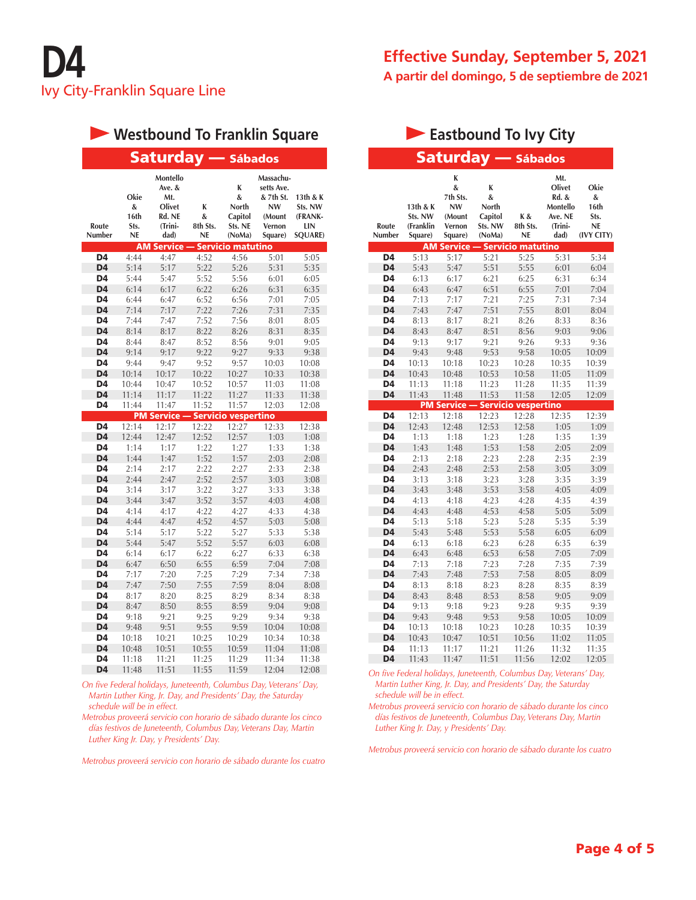#### **Montello Massachu-**Saturday — Sábados **Westbound To Franklin Square**

|                |           | Ave. &              |           | K                          | setts Ave. |                |
|----------------|-----------|---------------------|-----------|----------------------------|------------|----------------|
|                | Okie      | Mt.                 |           | &                          | & 7th St.  | 13th & K       |
|                | &         | Olivet              | K         | North                      | <b>NW</b>  | Sts. NW        |
|                | 16th      | Rd. NE              | &         | Capitol                    | (Mount     | (FRANK-        |
| Route          | Sts.      | (Trini-             | 8th Sts.  | Sts. NE                    | Vernon     | LIN            |
| Number         | <b>NE</b> | dad)                | <b>NE</b> | (NoMa)                     | Square)    | <b>SQUARE)</b> |
|                |           | <b>AM Service</b>   |           | <b>Servicio matutino</b>   |            |                |
| D <sub>4</sub> | 4:44      | 4:47                | 4:52      | 4:56                       | 5:01       | 5:05           |
| D <sub>4</sub> | 5:14      | 5:17                | 5:22      | 5:26                       | 5:31       | 5:35           |
| D4             | 5:44      | 5:47                | 5:52      | 5:56                       | 6:01       | 6:05           |
| D <sub>4</sub> | 6:14      | 6:17                | 6:22      | 6:26                       | 6:31       | 6:35           |
| D4             | 6:44      | 6:47                | 6:52      | 6:56                       | 7:01       | 7:05           |
| D <sub>4</sub> | 7:14      | 7:17                | 7:22      | 7:26                       | 7:31       | 7:35           |
| D4             | 7:44      | 7:47                | 7:52      | 7:56                       | 8:01       | 8:05           |
| D <sub>4</sub> | 8:14      | 8:17                | 8:22      | 8:26                       | 8:31       | 8:35           |
| D4             | 8:44      | 8:47                | 8:52      | 8:56                       | 9:01       | 9:05           |
| D <sub>4</sub> | 9:14      | 9:17                | 9:22      | 9:27                       | 9:33       | 9:38           |
| D <sub>4</sub> | 9:44      | 9:47                | 9:52      | 9:57                       | 10:03      | 10:08          |
| D <sub>4</sub> | 10:14     | 10:17               | 10:22     | 10:27                      | 10:33      | 10:38          |
| D <sub>4</sub> | 10:44     | 10:47               | 10:52     | 10:57                      | 11:03      | 11:08          |
| D <sub>4</sub> | 11:14     | 11:17               | 11:22     | 11:27                      | 11:33      | 11:38          |
| D4             | 11:44     | 11:47               | 11:52     | 11:57                      | 12:03      | 12:08          |
|                |           | <b>PM Service -</b> |           | <b>Servicio vespertino</b> |            |                |
| D4             | 12:14     | 12:17               | 12:22     | 12:27                      | 12:33      | 12:38          |
| D <sub>4</sub> | 12:44     | 12:47               | 12:52     | 12:57                      | 1:03       | 1:08           |
| D4             | 1:14      | 1:17                | 1:22      | 1:27                       | 1:33       | 1:38           |
| D <sub>4</sub> | 1:44      | 1:47                | 1:52      | 1:57                       | 2:03       | 2:08           |
| D <sub>4</sub> | 2:14      | 2:17                | 2:22      | 2:27                       | 2:33       | 2:38           |
| D <sub>4</sub> | 2:44      | 2:47                | 2:52      | 2:57                       | 3:03       | 3:08           |
| D4             | 3:14      | 3:17                | 3:22      | 3:27                       | 3:33       | 3:38           |
| D <sub>4</sub> | 3:44      | 3:47                | 3:52      | 3:57                       | 4:03       | 4:08           |
| D4             | 4:14      | 4:17                | 4:22      | 4:27                       | 4:33       | 4:38           |
| D <sub>4</sub> | 4:44      | 4:47                | 4:52      | 4:57                       | 5:03       | 5:08           |
| D <sub>4</sub> | 5:14      | 5:17                | 5:22      | 5:27                       | 5:33       | 5:38           |
| D <sub>4</sub> | 5:44      | 5:47                | 5:52      | 5:57                       | 6:03       | 6:08           |
| D4             | 6:14      | 6:17                | 6:22      | 6:27                       | 6:33       | 6:38           |
| D4             | 6:47      | 6:50                | 6:55      | 6:59                       | 7:04       | 7:08           |
| D4             | 7:17      | 7:20                | 7:25      | 7:29                       | 7:34       | 7:38           |
| D <sub>4</sub> | 7:47      | 7:50                | 7:55      | 7:59                       | 8:04       | 8:08           |
| D <sub>4</sub> | 8:17      | 8:20                | 8:25      | 8:29                       | 8:34       | 8:38           |
| D <sub>4</sub> | 8:47      | 8:50                | 8:55      | 8:59                       | 9:04       | 9:08           |
| D4             | 9:18      | 9:21                | 9:25      | 9:29                       | 9:34       | 9:38           |
| D <sub>4</sub> | 9:48      | 9:51                | 9:55      | 9:59                       | 10:04      | 10:08          |
| D4             | 10:18     | 10:21               | 10:25     | 10:29                      | 10:34      | 10:38          |
| D4             | 10:48     | 10:51               | 10:55     | 10:59                      | 11:04      | 11:08          |
| D4             | 11:18     | 11:21               | 11:25     | 11:29                      | 11:34      | 11:38          |
| D <sub>4</sub> | 11:48     | 11:51               | 11:55     | 11:59                      | 12:04      | 12:08          |

*On five Federal holidays, Juneteenth, Columbus Day, Veterans' Day, Martin Luther King, Jr. Day, and Presidents' Day, the Saturday schedule will be in effect.*

*Metrobus proveerá servicio con horario de sábado durante los cinco días festivos de Juneteenth, Columbus Day, Veterans Day, Martin Luther King Jr. Day, y Presidents' Day.*

*Metrobus proveerá servicio con horario de sábado durante los cuatro* 

## **Eastbound To Ivy City**

|                      |                                             | <b>Saturday</b>                                                |                                                 | <b>— Sábados</b>            |                                                                             |                                               |
|----------------------|---------------------------------------------|----------------------------------------------------------------|-------------------------------------------------|-----------------------------|-----------------------------------------------------------------------------|-----------------------------------------------|
| Route<br>Number      | 13th & K<br>Sts. NW<br>(Franklin<br>Square) | K<br>&<br>7th Sts.<br><b>NW</b><br>(Mount<br>Vernon<br>Square) | K<br>&<br>North<br>Capitol<br>Sts. NW<br>(NoMa) | K&<br>8th Sts.<br><b>NE</b> | Mt.<br>Olivet<br><b>Rd. &amp;</b><br>Montello<br>Ave. NE<br>(Trini-<br>dad) | Okie<br>&<br>16th<br>Sts.<br>NE<br>(IVY CITY) |
|                      |                                             | <b>AM Service</b>                                              |                                                 | <b>Servicio matutino</b>    |                                                                             |                                               |
| D4                   | 5:13                                        | 5:17                                                           | 5:21                                            | 5:25                        | 5:31                                                                        | 5:34                                          |
| D <sub>4</sub>       | 5:43                                        | 5:47                                                           | 5:51                                            | 5:55                        | 6:01                                                                        | 6:04                                          |
| D4                   | 6:13                                        | 6:17                                                           | 6:21                                            | 6:25                        | 6:31                                                                        | 6:34                                          |
| D4                   | 6:43                                        | 6:47                                                           | 6:51                                            | 6:55                        | 7:01                                                                        | 7:04                                          |
| D4                   | 7:13                                        | 7:17                                                           | 7:21                                            | 7:25                        | 7:31                                                                        | 7:34                                          |
| D4                   | 7:43                                        | 7:47                                                           | 7:51                                            | 7:55                        | 8:01                                                                        | 8:04                                          |
| D4                   | 8:13                                        | 8:17                                                           | 8:21                                            | 8:26                        | 8:33                                                                        | 8:36                                          |
| D4                   | 8:43                                        | 8:47                                                           | 8:51                                            | 8:56                        | 9:03                                                                        | 9:06                                          |
| D4                   | 9:13                                        | 9:17                                                           | 9:21                                            | 9:26                        | 9:33                                                                        | 9:36                                          |
| D4                   | 9:43                                        | 9:48                                                           | 9:53                                            | 9:58                        | 10:05                                                                       | 10:09                                         |
| D4                   | 10:13                                       | 10:18                                                          | 10:23                                           | 10:28                       | 10:35                                                                       | 10:39                                         |
| D4                   | 10:43                                       | 10:48                                                          | 10:53                                           | 10:58                       | 11:05                                                                       | 11:09                                         |
| D4                   | 11:13                                       | 11:18                                                          | 11:23                                           | 11:28                       | 11:35                                                                       | 11:39                                         |
| D <sub>4</sub>       | 11:43                                       | 11:48                                                          | 11:53                                           | 11:58                       | 12:05                                                                       | 12:09                                         |
|                      |                                             | <b>PM Service</b>                                              |                                                 | <b>Servicio vespertino</b>  |                                                                             |                                               |
| D4<br>D4             | 12:13                                       | 12:18                                                          | 12:23                                           | 12:28                       | 12:35                                                                       | 12:39                                         |
|                      | 12:43                                       | 12:48                                                          | 12:53                                           | 12:58                       | 1:05                                                                        | 1:09                                          |
| D4                   | 1:13                                        | 1:18                                                           | 1:23                                            | 1:28                        | 1:35                                                                        | 1:39                                          |
| D4                   | 1:43                                        | 1:48                                                           | 1:53                                            | 1:58                        | 2:05                                                                        | 2:09                                          |
| D4                   | 2:13                                        | 2:18                                                           | 2:23                                            | 2:28                        | 2:35                                                                        | 2:39                                          |
| D <sub>4</sub>       | 2:43                                        | 2:48                                                           | 2:53                                            | 2:58                        | 3:05                                                                        | 3:09                                          |
| D4                   | 3:13                                        | 3:18                                                           | 3:23                                            | 3:28                        | 3:35                                                                        | 3:39                                          |
| D4                   | 3:43                                        | 3:48                                                           | 3:53                                            | 3:58                        | 4:05                                                                        | 4:09                                          |
| D4<br>D <sub>4</sub> | 4:13                                        | 4:18                                                           | 4:23                                            | 4:28                        | 4:35                                                                        | 4:39                                          |
|                      | 4:43                                        | 4:48                                                           | 4:53                                            | 4:58                        | 5:05                                                                        | 5:09                                          |
| D4<br>D <sub>4</sub> | 5:13                                        | 5:18                                                           | 5:23                                            | 5:28                        | 5:35                                                                        | 5:39                                          |
|                      | 5:43                                        | 5:48                                                           | 5:53                                            | 5:58                        | 6:05                                                                        | 6:09                                          |
| D4                   | 6:13                                        | 6:18                                                           | 6:23                                            | 6:28                        | 6:35                                                                        | 6:39                                          |
| D <sub>4</sub>       | 6:43                                        | 6:48                                                           | 6:53                                            | 6:58                        | 7:05                                                                        | 7:09                                          |
| D4                   | 7:13                                        | 7:18                                                           | 7:23                                            | 7:28                        | 7:35                                                                        | 7:39                                          |
| D4                   | 7:43                                        | 7:48                                                           | 7:53                                            | 7:58                        | 8:05                                                                        | 8:09                                          |
| D4<br>D4             | 8:13                                        | 8:18                                                           | 8:23                                            | 8:28                        | 8:35                                                                        | 8:39                                          |
|                      | 8:43                                        | 8:48                                                           | 8:53                                            | 8:58                        | 9:05                                                                        | 9:09                                          |
| D4                   | 9:13                                        | 9:18                                                           | 9:23                                            | 9:28                        | 9:35                                                                        | 9:39                                          |
| D4                   | 9:43                                        | 9:48                                                           | 9:53                                            | 9:58                        | 10:05                                                                       | 10:09                                         |
| D4                   | 10:13                                       | 10:18                                                          | 10:23                                           | 10:28                       | 10:35                                                                       | 10:39                                         |
| D4                   | 10:43                                       | 10:47                                                          | 10:51                                           | 10:56                       | 11:02                                                                       | 11:05                                         |
| D4                   | 11:13                                       | 11:17                                                          | 11:21                                           | 11:26                       | 11:32                                                                       | 11:35                                         |
| D4                   | 11:43                                       | 11:47                                                          | 11:51                                           | 11:56                       | 12:02                                                                       | 12:05                                         |

*On five Federal holidays, Juneteenth, Columbus Day, Veterans' Day, Martin Luther King, Jr. Day, and Presidents' Day, the Saturday schedule will be in effect.*

*Metrobus proveerá servicio con horario de sábado durante los cinco días festivos de Juneteenth, Columbus Day, Veterans Day, Martin Luther King Jr. Day, y Presidents' Day.*

*Metrobus proveerá servicio con horario de sábado durante los cuatro*